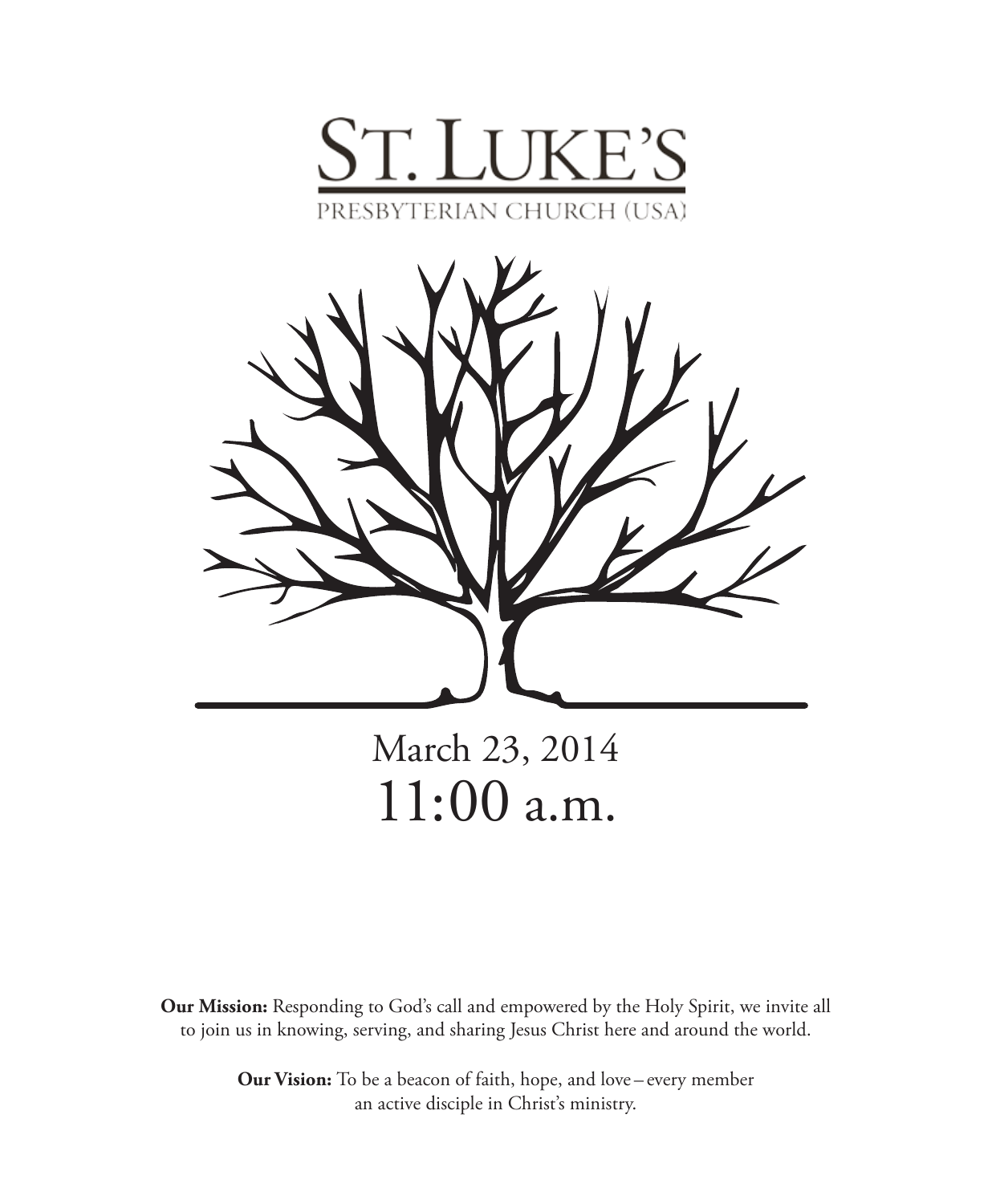



March 23, 2014 11:00 a.m.

**Our Mission:** Responding to God's call and empowered by the Holy Spirit, we invite all to join us in knowing, serving, and sharing Jesus Christ here and around the world.

> **Our Vision:** To be a beacon of faith, hope, and love – every member an active disciple in Christ's ministry.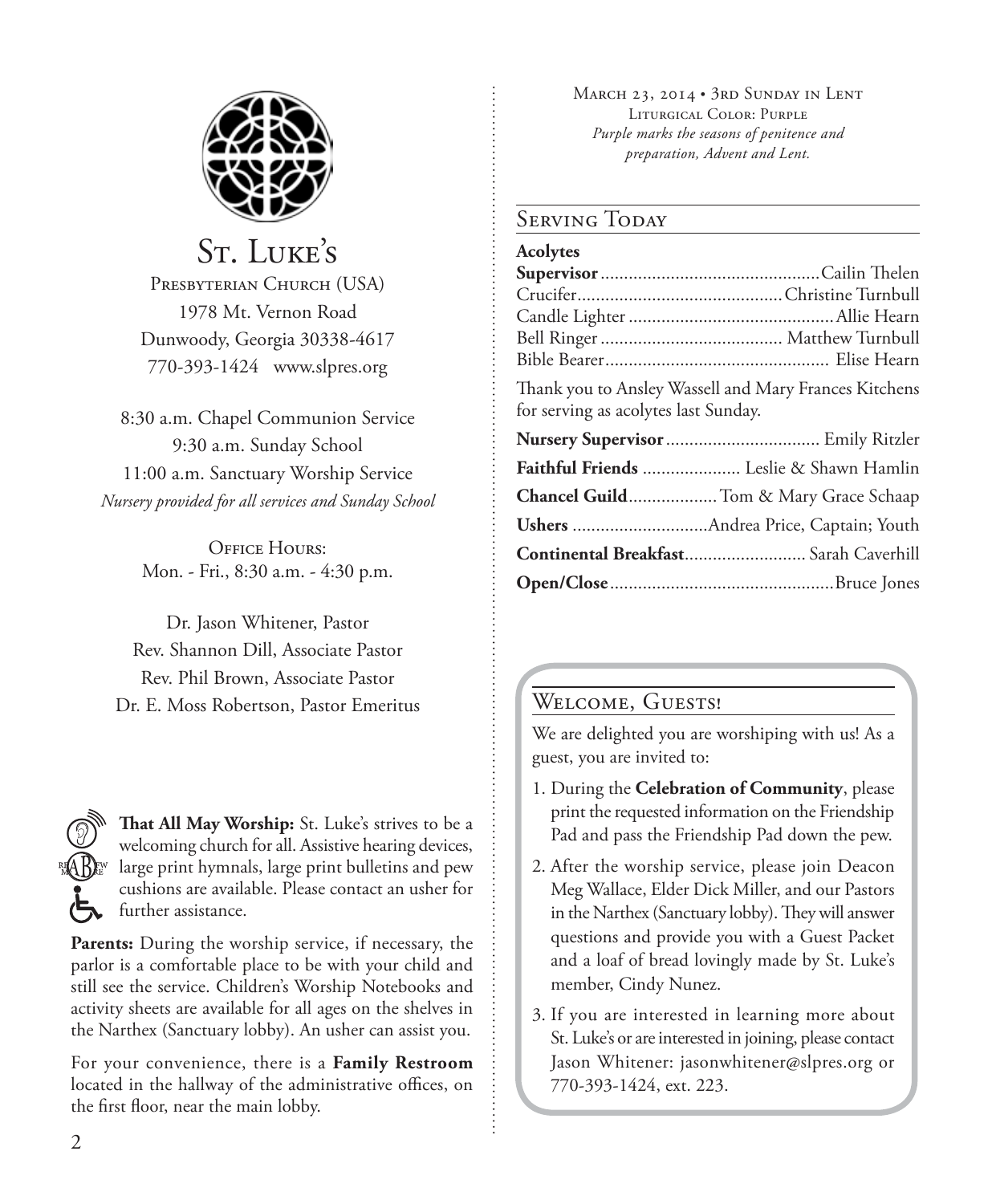

# St. Luke's

PRESBYTERIAN CHURCH (USA) 1978 Mt. Vernon Road Dunwoody, Georgia 30338-4617 770-393-1424 www.slpres.org

8:30 a.m. Chapel Communion Service 9:30 a.m. Sunday School 11:00 a.m. Sanctuary Worship Service *Nursery provided for all services and Sunday School*

> Office Hours: Mon. - Fri., 8:30 a.m. - 4:30 p.m.

Dr. Jason Whitener, Pastor Rev. Shannon Dill, Associate Pastor Rev. Phil Brown, Associate Pastor Dr. E. Moss Robertson, Pastor Emeritus



**That All May Worship:** St. Luke's strives to be a welcoming church for all. Assistive hearing devices, large print hymnals, large print bulletins and pew cushions are available. Please contact an usher for further assistance.

**Parents:** During the worship service, if necessary, the parlor is a comfortable place to be with your child and still see the service. Children's Worship Notebooks and activity sheets are available for all ages on the shelves in the Narthex (Sanctuary lobby). An usher can assist you.

For your convenience, there is a **Family Restroom** located in the hallway of the administrative offices, on the first floor, near the main lobby.

March 23, 2014 • 3rd Sunday in Lent Liturgical Color: Purple *Purple marks the seasons of penitence and preparation, Advent and Lent.* 

## SERVING TODAY

| <b>Acolytes</b>                      |                                                       |
|--------------------------------------|-------------------------------------------------------|
|                                      |                                                       |
|                                      |                                                       |
|                                      |                                                       |
|                                      |                                                       |
|                                      |                                                       |
| for serving as acolytes last Sunday. | Thank you to Ansley Wassell and Mary Frances Kitchens |
|                                      |                                                       |
|                                      | Faithful Friends  Leslie & Shawn Hamlin               |
|                                      | Chancel Guild Tom & Mary Grace Schaap                 |
|                                      |                                                       |
|                                      | Continental Breakfast Sarah Caverhill                 |
|                                      |                                                       |

## WELCOME, GUESTS!

We are delighted you are worshiping with us! As a guest, you are invited to:

- 1. During the **Celebration of Community**, please print the requested information on the Friendship Pad and pass the Friendship Pad down the pew.
- 2. After the worship service, please join Deacon Meg Wallace, Elder Dick Miller, and our Pastors in the Narthex (Sanctuary lobby). They will answer questions and provide you with a Guest Packet and a loaf of bread lovingly made by St. Luke's member, Cindy Nunez.
- 3. If you are interested in learning more about St. Luke's or are interested in joining, please contact Jason Whitener: jasonwhitener@slpres.org or 770-393-1424, ext. 223.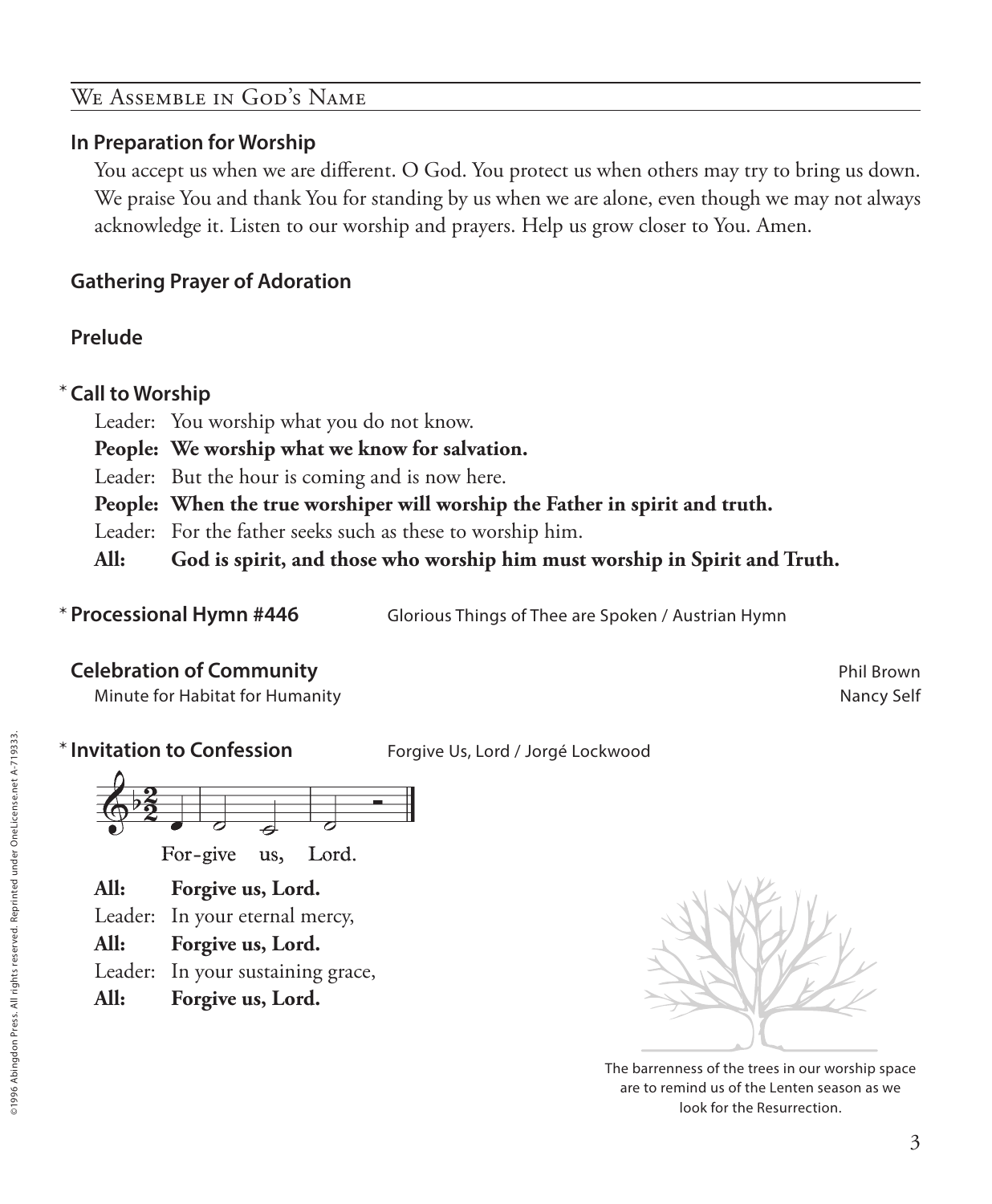## We Assemble in God's Name

## **In Preparation for Worship**

 You accept us when we are different. O God. You protect us when others may try to bring us down. We praise You and thank You for standing by us when we are alone, even though we may not always acknowledge it. Listen to our worship and prayers. Help us grow closer to You. Amen.

## **Gathering Prayer of Adoration**

## **Prelude**

## **Call to Worship**  \*

Leader: You worship what you do not know.

**People: We worship what we know for salvation.** 

Leader: But the hour is coming and is now here.

**People: When the true worshiper will worship the Father in spirit and truth.**

Leader: For the father seeks such as these to worship him.

**All: God is spirit, and those who worship him must worship in Spirit and Truth.** 

\* Processional Hymn #446

Glorious Things of Thee are Spoken / Austrian Hymn

## **Celebration of Community Phil Brown Phil Brown**

Minute for Habitat for Humanity Nancy Self

\* Invitation to Confession

Forgive Us, Lord / Jorgé Lockwood



For-give us, Lord.

**All: Forgive us, Lord.**

Leader: In your eternal mercy,

- **All: Forgive us, Lord.**
- Leader: In your sustaining grace,
- **All: Forgive us, Lord.**



The barrenness of the trees in our worship space are to remind us of the Lenten season as we look for the Resurrection.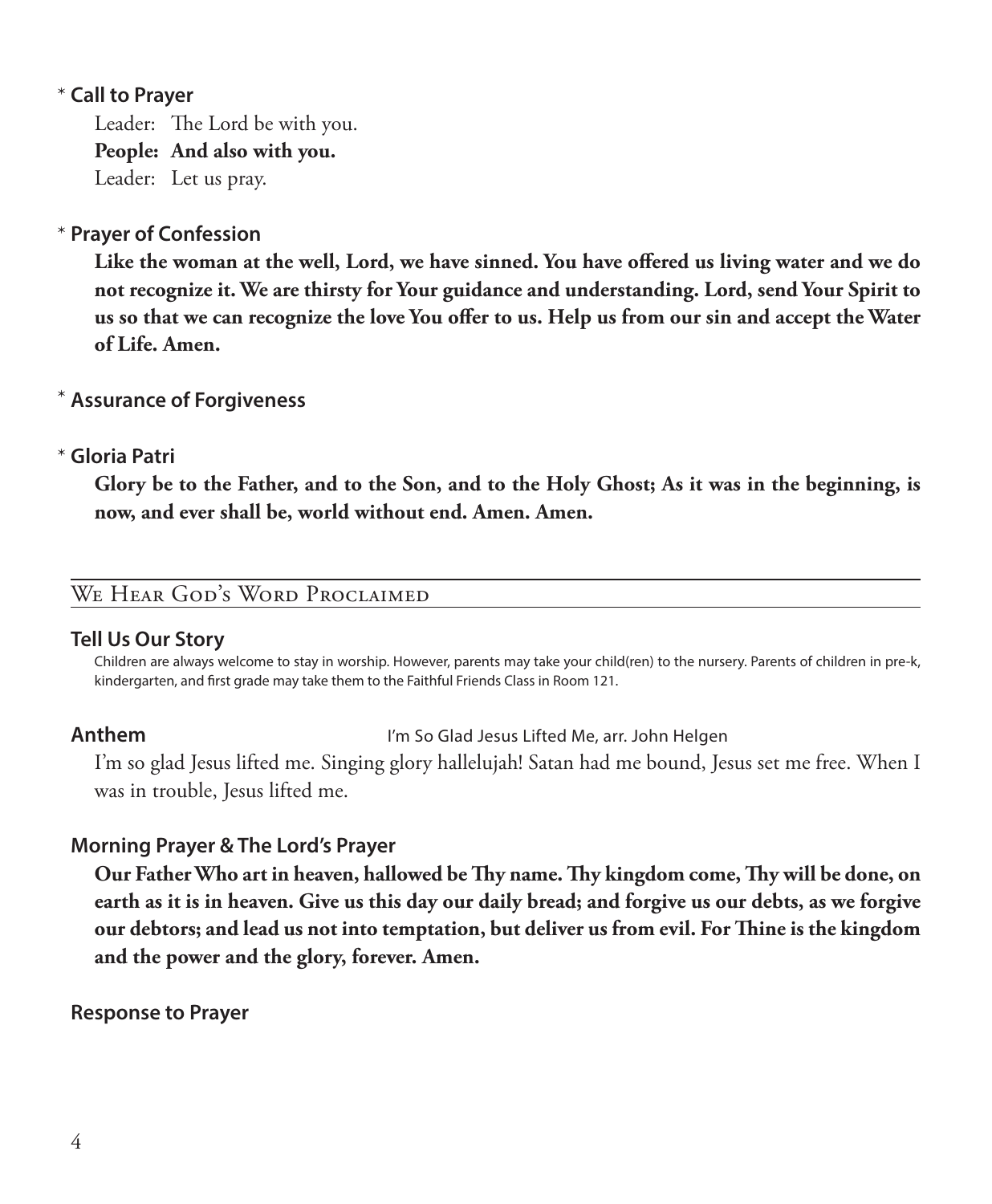### **Call to Prayer**  \*

Leader: The Lord be with you. **People: And also with you.** Leader: Let us pray.

## **Prayer of Confession**  \*

 **Like the woman at the well, Lord, we have sinned. You have offered us living water and we do not recognize it. We are thirsty for Your guidance and understanding. Lord, send Your Spirit to us so that we can recognize the love You offer to us. Help us from our sin and accept the Water of Life. Amen.**

### **Assurance of Forgiveness** \*

## **Gloria Patri** \*

 **Glory be to the Father, and to the Son, and to the Holy Ghost; As it was in the beginning, is now, and ever shall be, world without end. Amen. Amen.**

## We Hear God's Word Proclaimed

#### **Tell Us Our Story**

 Children are always welcome to stay in worship. However, parents may take your child(ren) to the nursery. Parents of children in pre-k, kindergarten, and first grade may take them to the Faithful Friends Class in Room 121.

**Anthem** I'm So Glad Jesus Lifted Me, arr. John Helgen

 I'm so glad Jesus lifted me. Singing glory hallelujah! Satan had me bound, Jesus set me free. When I was in trouble, Jesus lifted me.

## **Morning Prayer & The Lord's Prayer**

 **Our Father Who art in heaven, hallowed be Thy name. Thy kingdom come, Thy will be done, on earth as it is in heaven. Give us this day our daily bread; and forgive us our debts, as we forgive our debtors; and lead us not into temptation, but deliver us from evil. For Thine is the kingdom and the power and the glory, forever. Amen.**

### **Response to Prayer**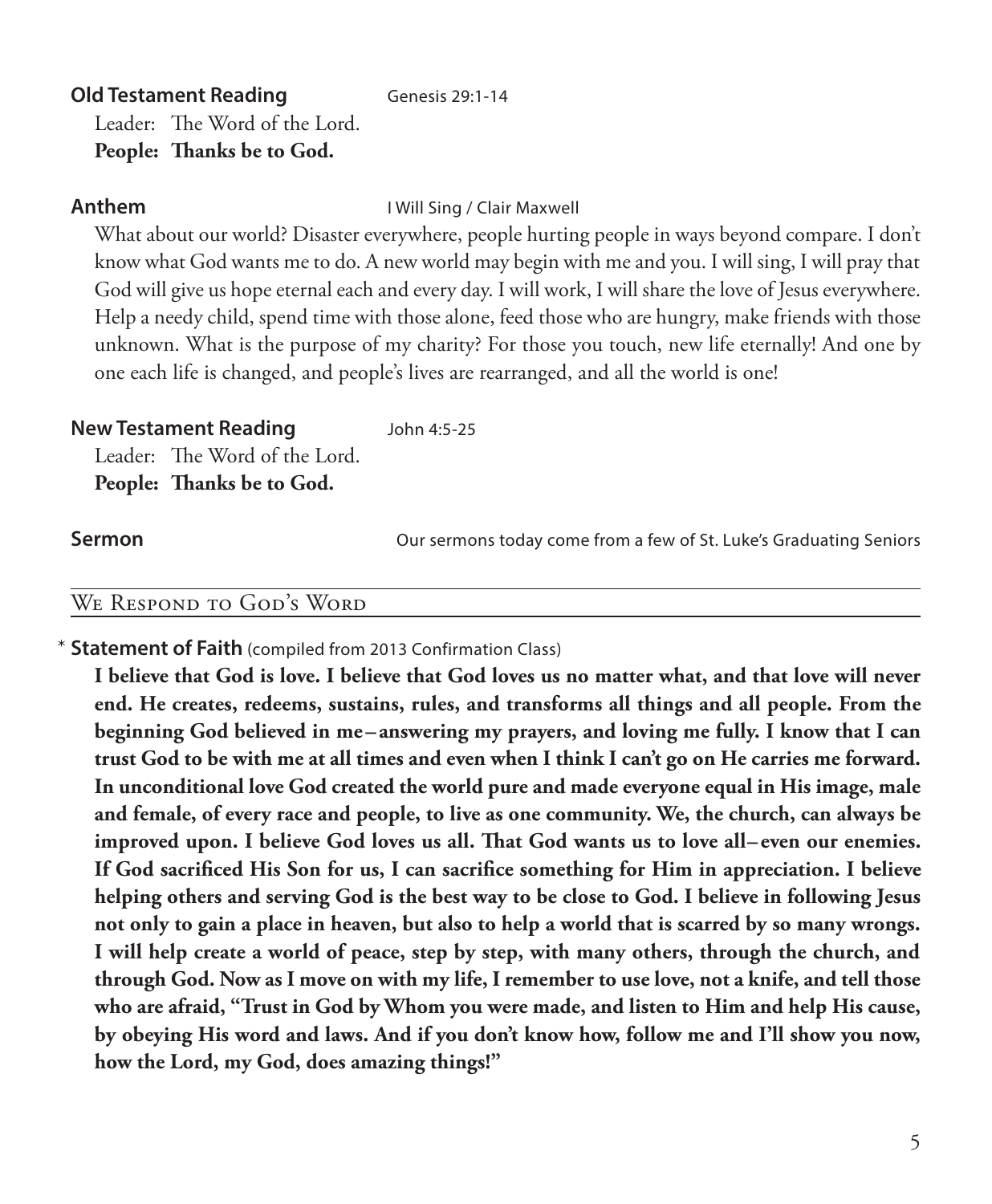#### **Old Testament Reading** Genesis 29:1-14

Leader: The Word of the Lord. **People: Thanks be to God.** 

**Anthem I** Will Sing / Clair Maxwell

 What about our world? Disaster everywhere, people hurting people in ways beyond compare. I don't know what God wants me to do. A new world may begin with me and you. I will sing, I will pray that God will give us hope eternal each and every day. I will work, I will share the love of Jesus everywhere. Help a needy child, spend time with those alone, feed those who are hungry, make friends with those unknown. What is the purpose of my charity? For those you touch, new life eternally! And one by one each life is changed, and people's lives are rearranged, and all the world is one!

#### **New Testament Reading** John 4:5-25

Leader: The Word of the Lord. **People: Thanks be to God.**

**Sermon** Sermons today come from a few of St. Luke's Graduating Seniors

## WE RESPOND TO GOD'S WORD

**Statement of Faith** (compiled from 2013 Confirmation Class) \*

 **I believe that God is love. I believe that God loves us no matter what, and that love will never end. He creates, redeems, sustains, rules, and transforms all things and all people. From the beginning God believed in me – answering my prayers, and loving me fully. I know that I can trust God to be with me at all times and even when I think I can't go on He carries me forward. In unconditional love God created the world pure and made everyone equal in His image, male and female, of every race and people, to live as one community. We, the church, can always be improved upon. I believe God loves us all. That God wants us to love all– even our enemies. If God sacrificed His Son for us, I can sacrifice something for Him in appreciation. I believe helping others and serving God is the best way to be close to God. I believe in following Jesus not only to gain a place in heaven, but also to help a world that is scarred by so many wrongs. I will help create a world of peace, step by step, with many others, through the church, and through God. Now as I move on with my life, I remember to use love, not a knife, and tell those who are afraid, "Trust in God by Whom you were made, and listen to Him and help His cause, by obeying His word and laws. And if you don't know how, follow me and I'll show you now, how the Lord, my God, does amazing things!"**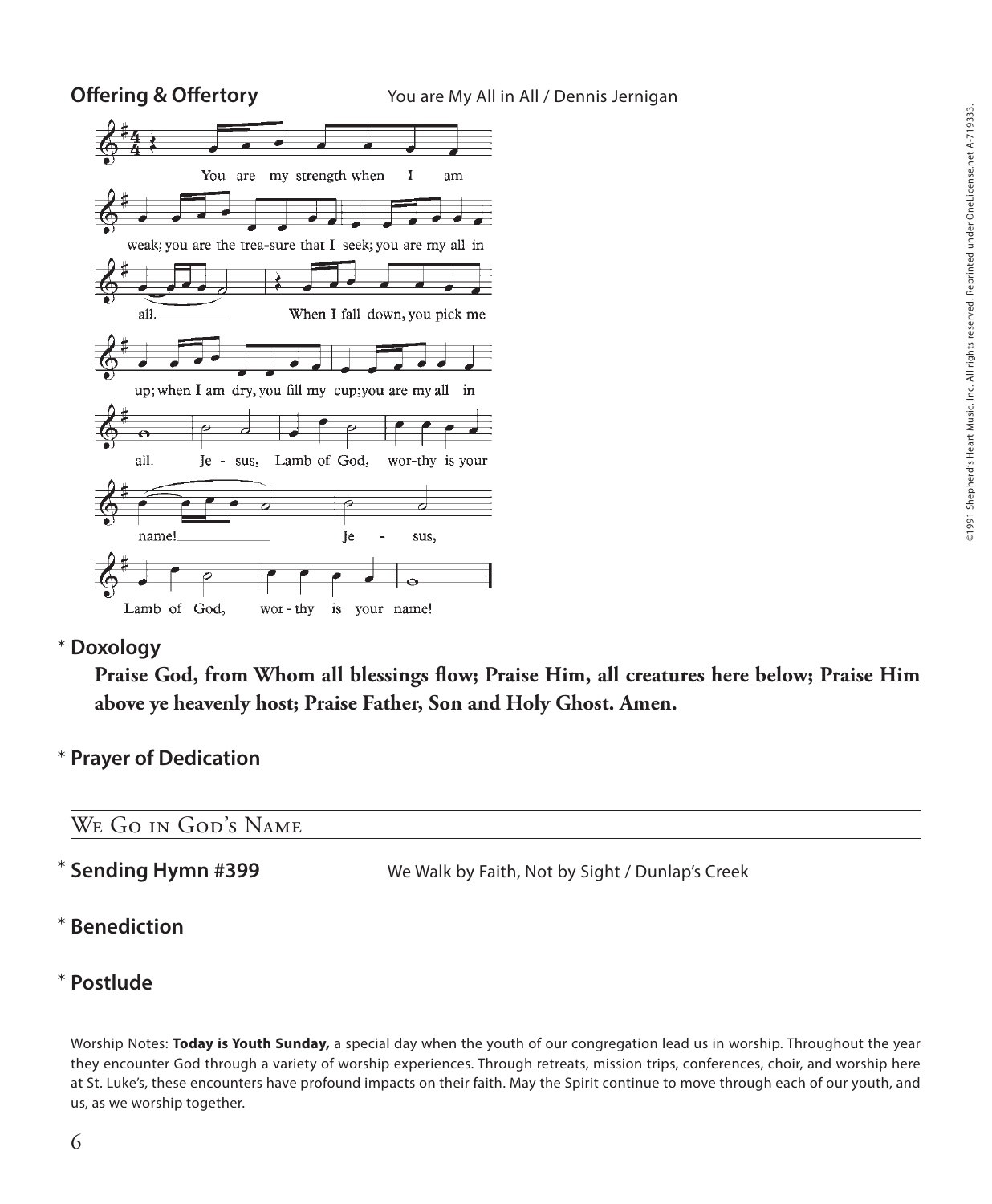**Offering & Offertory** You are My All in All / Dennis Jernigan



## **Doxology** \*

 **Praise God, from Whom all blessings flow; Praise Him, all creatures here below; Praise Him above ye heavenly host; Praise Father, Son and Holy Ghost. Amen.**

## **Prayer of Dedication** \*

| WE GO IN GOD'S NAME |                                                 |
|---------------------|-------------------------------------------------|
| * Sending Hymn #399 | We Walk by Faith, Not by Sight / Dunlap's Creek |
| * Benediction       |                                                 |

#### **Postlude** \*

Worship Notes: **Today is Youth Sunday,** a special day when the youth of our congregation lead us in worship. Throughout the year they encounter God through a variety of worship experiences. Through retreats, mission trips, conferences, choir, and worship here at St. Luke's, these encounters have profound impacts on their faith. May the Spirit continue to move through each of our youth, and us, as we worship together.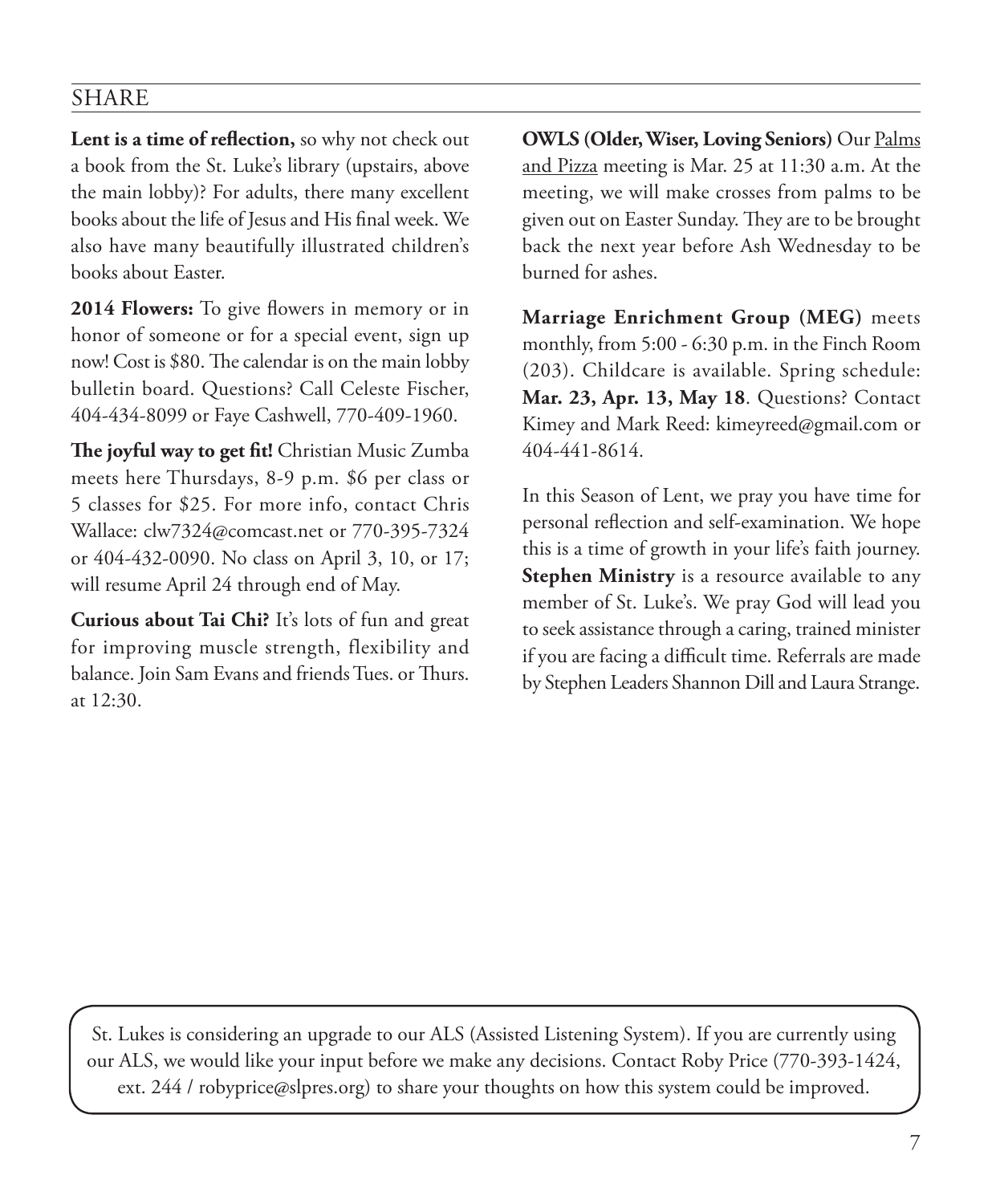## SHARE

**Lent is a time of reflection,** so why not check out a book from the St. Luke's library (upstairs, above the main lobby)? For adults, there many excellent books about the life of Jesus and His final week. We also have many beautifully illustrated children's books about Easter.

**2014 Flowers:** To give flowers in memory or in honor of someone or for a special event, sign up now! Cost is \$80. The calendar is on the main lobby bulletin board. Questions? Call Celeste Fischer, 404-434-8099 or Faye Cashwell, 770-409-1960.

**The joyful way to get fit!** Christian Music Zumba meets here Thursdays, 8-9 p.m. \$6 per class or 5 classes for \$25. For more info, contact Chris Wallace: clw7324@comcast.net or 770-395-7324 or 404-432-0090. No class on April 3, 10, or 17; will resume April 24 through end of May.

**Curious about Tai Chi?** It's lots of fun and great for improving muscle strength, flexibility and balance. Join Sam Evans and friends Tues. or Thurs. at 12:30.

**OWLS (Older, Wiser, Loving Seniors)** Our Palms and Pizza meeting is Mar. 25 at 11:30 a.m. At the meeting, we will make crosses from palms to be given out on Easter Sunday. They are to be brought back the next year before Ash Wednesday to be burned for ashes.

**Marriage Enrichment Group (MEG)** meets monthly, from 5:00 - 6:30 p.m. in the Finch Room (203). Childcare is available. Spring schedule: **Mar. 23, Apr. 13, May 18**. Questions? Contact Kimey and Mark Reed: kimeyreed@gmail.com or 404-441-8614.

In this Season of Lent, we pray you have time for personal reflection and self-examination. We hope this is a time of growth in your life's faith journey. **Stephen Ministry** is a resource available to any member of St. Luke's. We pray God will lead you to seek assistance through a caring, trained minister if you are facing a difficult time. Referrals are made by Stephen Leaders Shannon Dill and Laura Strange.

St. Lukes is considering an upgrade to our ALS (Assisted Listening System). If you are currently using our ALS, we would like your input before we make any decisions. Contact Roby Price (770-393-1424, ext. 244 / robyprice@slpres.org) to share your thoughts on how this system could be improved.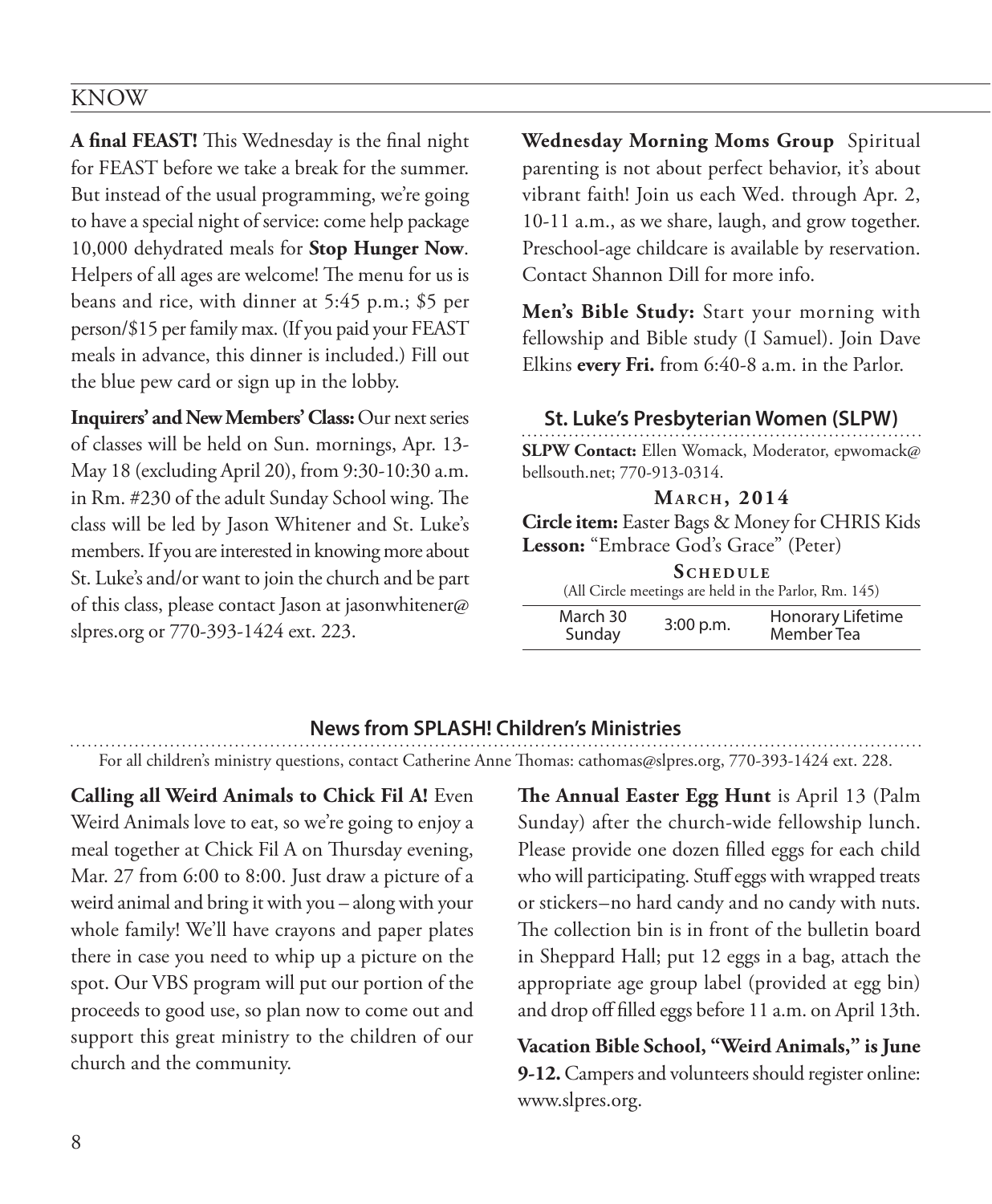## KNOW

**A final FEAST!** This Wednesday is the final night for FEAST before we take a break for the summer. But instead of the usual programming, we're going to have a special night of service: come help package 10,000 dehydrated meals for **Stop Hunger Now**. Helpers of all ages are welcome! The menu for us is beans and rice, with dinner at 5:45 p.m.; \$5 per person/\$15 per family max. (If you paid your FEAST meals in advance, this dinner is included.) Fill out the blue pew card or sign up in the lobby.

**Inquirers' and New Members' Class:** Our next series of classes will be held on Sun. mornings, Apr. 13- May 18 (excluding April 20), from 9:30-10:30 a.m. in Rm. #230 of the adult Sunday School wing. The class will be led by Jason Whitener and St. Luke's members. If you are interested in knowing more about St. Luke's and/or want to join the church and be part of this class, please contact Jason at jasonwhitener@ slpres.org or 770-393-1424 ext. 223.

**Wednesday Morning Moms Group** Spiritual parenting is not about perfect behavior, it's about vibrant faith! Join us each Wed. through Apr. 2, 10-11 a.m., as we share, laugh, and grow together. Preschool-age childcare is available by reservation. Contact Shannon Dill for more info.

**Men's Bible Study:** Start your morning with fellowship and Bible study (I Samuel). Join Dave Elkins **every Fri.** from 6:40-8 a.m. in the Parlor.

#### **St. Luke's Presbyterian Women (SLPW)**

**SLPW Contact:** Ellen Womack, Moderator, epwomack@ bellsouth.net; 770-913-0314.

**Ma r c h , 2014 Circle item:** Easter Bags & Money for CHRIS Kids **Lesson:** "Embrace God's Grace" (Peter)

| <b>SCHEDULE</b><br>(All Circle meetings are held in the Parlor, Rm. 145) |           |                                 |  |  |
|--------------------------------------------------------------------------|-----------|---------------------------------|--|--|
| March 30<br>Sunday                                                       | 3:00 p.m. | Honorary Lifetime<br>Member Tea |  |  |

#### **News from SPLASH! Children's Ministries**

For all children's ministry questions, contact Catherine Anne Thomas: cathomas@slpres.org, 770-393-1424 ext. 228.

**Calling all Weird Animals to Chick Fil A!** Even Weird Animals love to eat, so we're going to enjoy a meal together at Chick Fil A on Thursday evening, Mar. 27 from 6:00 to 8:00. Just draw a picture of a weird animal and bring it with you – along with your whole family! We'll have crayons and paper plates there in case you need to whip up a picture on the spot. Our VBS program will put our portion of the proceeds to good use, so plan now to come out and support this great ministry to the children of our church and the community.

**The Annual Easter Egg Hunt** is April 13 (Palm Sunday) after the church-wide fellowship lunch. Please provide one dozen filled eggs for each child who will participating. Stuff eggs with wrapped treats or stickers–no hard candy and no candy with nuts. The collection bin is in front of the bulletin board in Sheppard Hall; put 12 eggs in a bag, attach the appropriate age group label (provided at egg bin) and drop off filled eggs before 11 a.m. on April 13th.

**Vacation Bible School, "Weird Animals," is June 9-12.** Campers and volunteers should register online: www.slpres.org.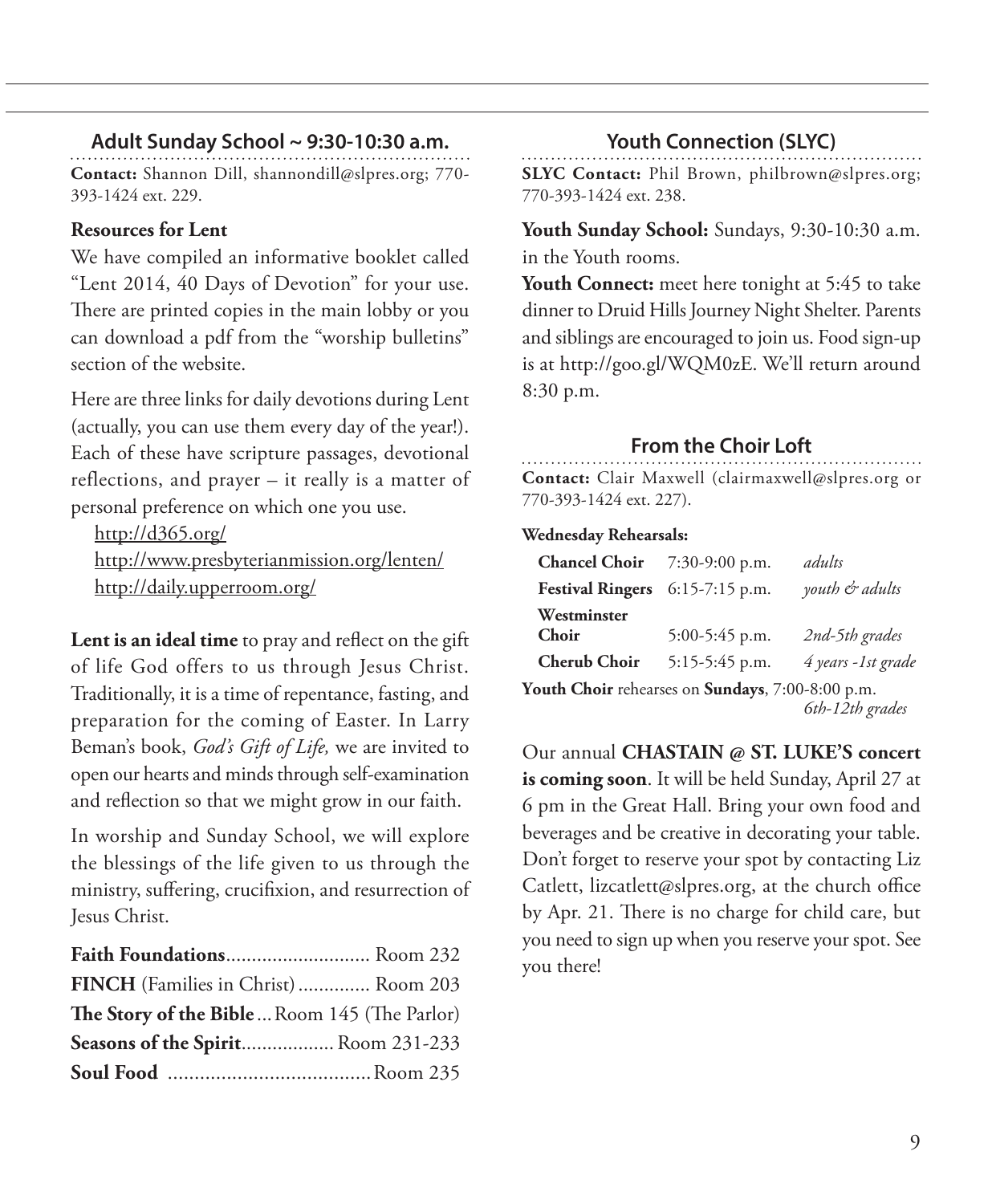## **Adult Sunday School ~ 9:30-10:30 a.m.**

**Contact:** Shannon Dill, shannondill@slpres.org; 770- 393-1424 ext. 229.

#### **Resources for Lent**

We have compiled an informative booklet called "Lent 2014, 40 Days of Devotion" for your use. There are printed copies in the main lobby or you can download a pdf from the "worship bulletins" section of the website.

Here are three links for daily devotions during Lent (actually, you can use them every day of the year!). Each of these have scripture passages, devotional reflections, and prayer – it really is a matter of personal preference on which one you use.

http://d365.org/ http://www.presbyterianmission.org/lenten/ http://daily.upperroom.org/

**Lent is an ideal time** to pray and reflect on the gift of life God offers to us through Jesus Christ. Traditionally, it is a time of repentance, fasting, and preparation for the coming of Easter. In Larry Beman's book, *God's Gift of Life,* we are invited to open our hearts and minds through self-examination and reflection so that we might grow in our faith.

In worship and Sunday School, we will explore the blessings of the life given to us through the ministry, suffering, crucifixion, and resurrection of Jesus Christ.

| Faith Foundations Room 232                   |  |
|----------------------------------------------|--|
| FINCH (Families in Christ)  Room 203         |  |
| The Story of the Bible Room 145 (The Parlor) |  |
| Seasons of the Spirit Room 231-233           |  |
|                                              |  |

#### **Youth Connection (SLYC)**

**SLYC Contact:** Phil Brown, philbrown@slpres.org; 770-393-1424 ext. 238.

**Youth Sunday School:** Sundays, 9:30-10:30 a.m. in the Youth rooms.

**Youth Connect:** meet here tonight at 5:45 to take dinner to Druid Hills Journey Night Shelter. Parents and siblings are encouraged to join us. Food sign-up is at http://goo.gl/WQM0zE. We'll return around 8:30 p.m.

## **From the Choir Loft**

**Contact:** Clair Maxwell (clairmaxwell@slpres.org or 770-393-1424 ext. 227).

#### **Wednesday Rehearsals:**

| <b>Chancel Choir</b>    | $7:30-9:00$ p.m. | adults             |
|-------------------------|------------------|--------------------|
| <b>Festival Ringers</b> | $6:15-7:15$ p.m. | youth & adults     |
| Westminster             |                  |                    |
| Choir                   | $5:00-5:45$ p.m. | 2nd-5th grades     |
| <b>Cherub Choir</b>     | $5:15-5:45$ p.m. | 4 years -1st grade |
|                         |                  |                    |

**Youth Choir** rehearses on **Sundays**, 7:00-8:00 p.m. *6th-12th grades*

Our annual **CHASTAIN @ ST. LUKE'S concert is coming soon**. It will be held Sunday, April 27 at 6 pm in the Great Hall. Bring your own food and beverages and be creative in decorating your table. Don't forget to reserve your spot by contacting Liz Catlett, lizcatlett@slpres.org, at the church office by Apr. 21. There is no charge for child care, but you need to sign up when you reserve your spot. See you there!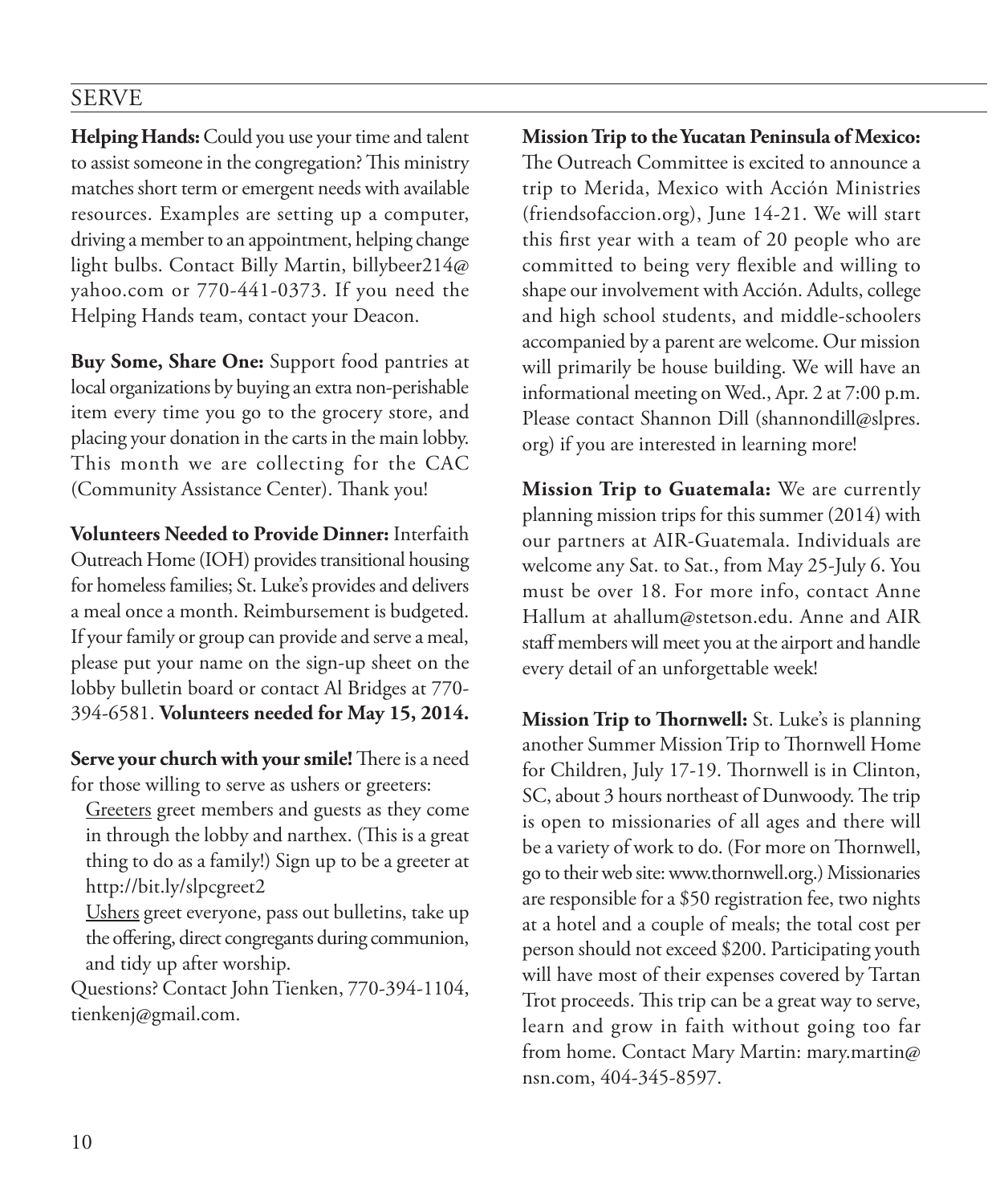## SERVE

**Helping Hands:** Could you use your time and talent to assist someone in the congregation? This ministry matches short term or emergent needs with available resources. Examples are setting up a computer, driving a member to an appointment, helping change light bulbs. Contact Billy Martin, billybeer214@ yahoo.com or 770-441-0373. If you need the Helping Hands team, contact your Deacon.

**Buy Some, Share One:** Support food pantries at local organizations by buying an extra non-perishable item every time you go to the grocery store, and placing your donation in the carts in the main lobby. This month we are collecting for the CAC (Community Assistance Center). Thank you!

**Volunteers Needed to Provide Dinner:** Interfaith Outreach Home (IOH) provides transitional housing for homeless families; St. Luke's provides and delivers a meal once a month. Reimbursement is budgeted. If your family or group can provide and serve a meal, please put your name on the sign-up sheet on the lobby bulletin board or contact Al Bridges at 770- 394-6581. **Volunteers needed for May 15, 2014.**

**Serve your church with your smile!** There is a need for those willing to serve as ushers or greeters:

 Greeters greet members and guests as they come in through the lobby and narthex. (This is a great thing to do as a family!) Sign up to be a greeter at http://bit.ly/slpcgreet2

 Ushers greet everyone, pass out bulletins, take up the offering, direct congregants during communion, and tidy up after worship.

Questions? Contact John Tienken, 770-394-1104, tienkenj@gmail.com.

#### **Mission Trip to the Yucatan Peninsula of Mexico:**

The Outreach Committee is excited to announce a trip to Merida, Mexico with Acción Ministries (friendsofaccion.org), June 14-21. We will start this first year with a team of 20 people who are committed to being very flexible and willing to shape our involvement with Acción. Adults, college and high school students, and middle-schoolers accompanied by a parent are welcome. Our mission will primarily be house building. We will have an informational meeting on Wed., Apr. 2 at 7:00 p.m. Please contact Shannon Dill (shannondill@slpres. org) if you are interested in learning more!

**Mission Trip to Guatemala:** We are currently planning mission trips for this summer (2014) with our partners at AIR-Guatemala. Individuals are welcome any Sat. to Sat., from May 25-July 6. You must be over 18. For more info, contact Anne Hallum at ahallum@stetson.edu. Anne and AIR staff members will meet you at the airport and handle every detail of an unforgettable week!

**Mission Trip to Thornwell:** St. Luke's is planning another Summer Mission Trip to Thornwell Home for Children, July 17-19. Thornwell is in Clinton, SC, about 3 hours northeast of Dunwoody. The trip is open to missionaries of all ages and there will be a variety of work to do. (For more on Thornwell, go to their web site: www.thornwell.org.) Missionaries are responsible for a \$50 registration fee, two nights at a hotel and a couple of meals; the total cost per person should not exceed \$200. Participating youth will have most of their expenses covered by Tartan Trot proceeds. This trip can be a great way to serve, learn and grow in faith without going too far from home. Contact Mary Martin: mary.martin@ nsn.com, 404-345-8597.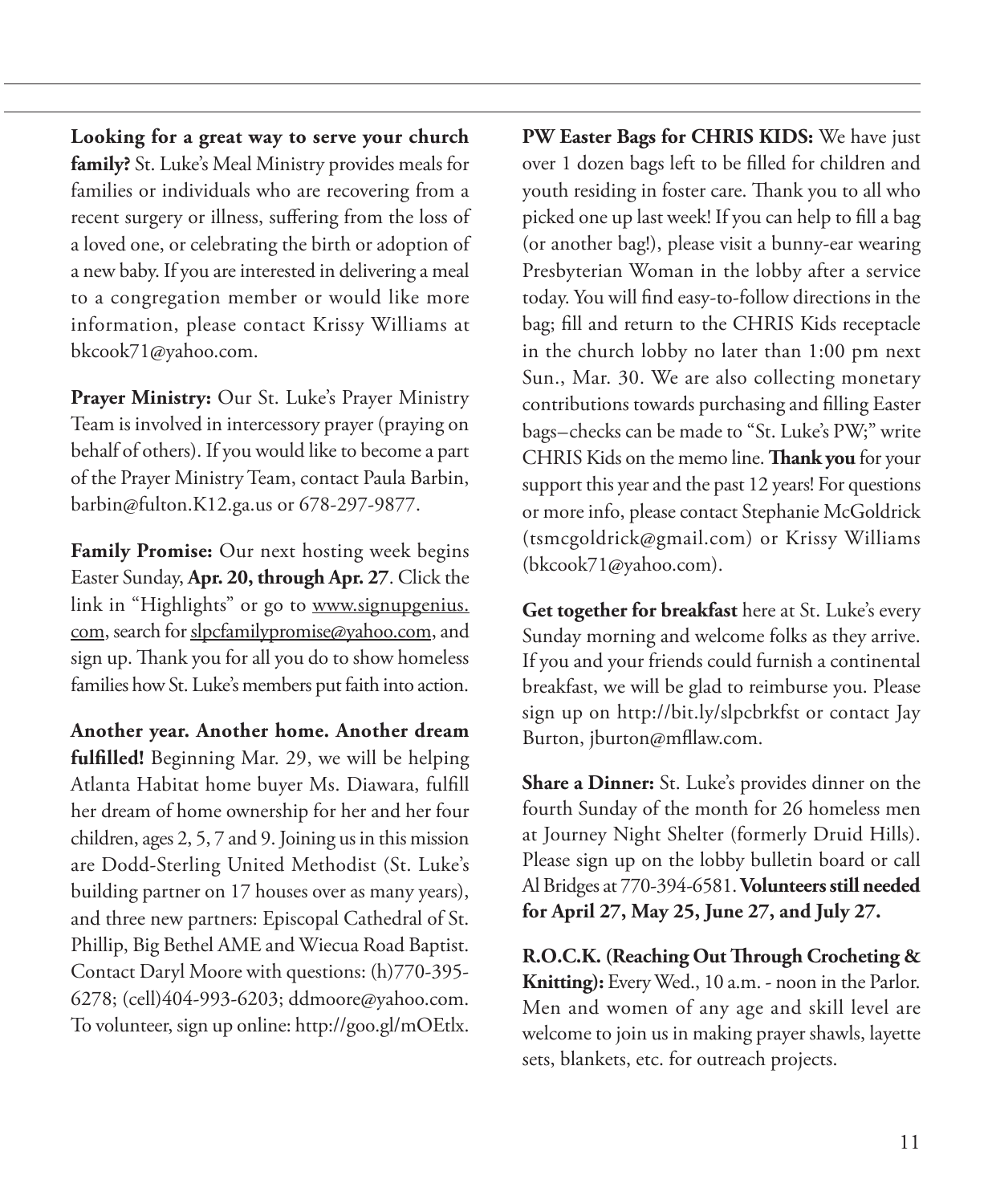**Looking for a great way to serve your church family?** St. Luke's Meal Ministry provides meals for families or individuals who are recovering from a recent surgery or illness, suffering from the loss of a loved one, or celebrating the birth or adoption of a new baby. If you are interested in delivering a meal to a congregation member or would like more information, please contact Krissy Williams at bkcook71@yahoo.com.

**Prayer Ministry:** Our St. Luke's Prayer Ministry Team is involved in intercessory prayer (praying on behalf of others). If you would like to become a part of the Prayer Ministry Team, contact Paula Barbin, barbin@fulton.K12.ga.us or 678-297-9877.

**Family Promise:** Our next hosting week begins Easter Sunday, **Apr. 20, through Apr. 27**. Click the link in "Highlights" or go to www.signupgenius. com, search for slpcfamilypromise@yahoo.com, and sign up. Thank you for all you do to show homeless families how St. Luke's members put faith into action.

**Another year. Another home. Another dream fulfilled!** Beginning Mar. 29, we will be helping Atlanta Habitat home buyer Ms. Diawara, fulfill her dream of home ownership for her and her four children, ages 2, 5, 7 and 9. Joining us in this mission are Dodd-Sterling United Methodist (St. Luke's building partner on 17 houses over as many years), and three new partners: Episcopal Cathedral of St. Phillip, Big Bethel AME and Wiecua Road Baptist. Contact Daryl Moore with questions: (h)770-395- 6278; (cell)404-993-6203; ddmoore@yahoo.com. To volunteer, sign up online: http://goo.gl/mOEtlx.

**PW Easter Bags for CHRIS KIDS:** We have just over 1 dozen bags left to be filled for children and youth residing in foster care. Thank you to all who picked one up last week! If you can help to fill a bag (or another bag!), please visit a bunny-ear wearing Presbyterian Woman in the lobby after a service today. You will find easy-to-follow directions in the bag; fill and return to the CHRIS Kids receptacle in the church lobby no later than 1:00 pm next Sun., Mar. 30. We are also collecting monetary contributions towards purchasing and filling Easter bags–checks can be made to "St. Luke's PW;" write CHRIS Kids on the memo line. **Thank you** for your support this year and the past 12 years! For questions or more info, please contact Stephanie McGoldrick (tsmcgoldrick@gmail.com) or Krissy Williams (bkcook71@yahoo.com).

**Get together for breakfast** here at St. Luke's every Sunday morning and welcome folks as they arrive. If you and your friends could furnish a continental breakfast, we will be glad to reimburse you. Please sign up on http://bit.ly/slpcbrkfst or contact Jay Burton, jburton@mfllaw.com.

**Share a Dinner:** St. Luke's provides dinner on the fourth Sunday of the month for 26 homeless men at Journey Night Shelter (formerly Druid Hills). Please sign up on the lobby bulletin board or call Al Bridges at 770-394-6581. **Volunteers still needed for April 27, May 25, June 27, and July 27.**

**R.O.C.K. (Reaching Out Through Crocheting & Knitting):** Every Wed., 10 a.m. - noon in the Parlor. Men and women of any age and skill level are welcome to join us in making prayer shawls, layette sets, blankets, etc. for outreach projects.